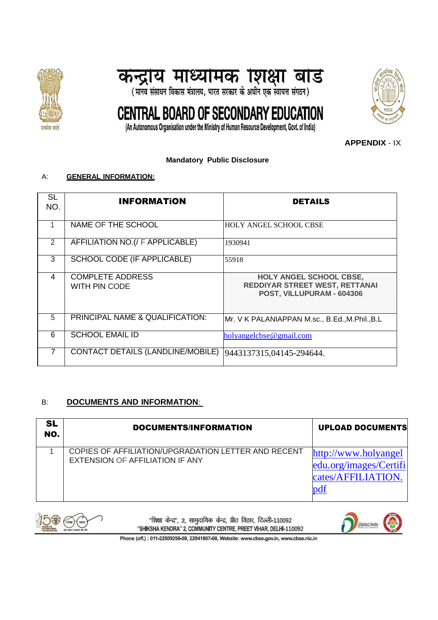





(An Autonomous Organisation under the Ministry of Human Resource Development, Govt. of India)

**APPENDIX** - IX

#### **Mandatory Public Disclosure**

#### A: **GENERAL INFORMATION:**

| SL<br>NO.      | <b>INFORMATION</b>                       | <b>DETAILS</b>                                                                         |
|----------------|------------------------------------------|----------------------------------------------------------------------------------------|
|                | NAME OF THE SCHOOL                       | <b>HOLY ANGEL SCHOOL CBSE</b>                                                          |
| $\overline{2}$ | AFFILIATION NO. (/ F APPLICABLE)         | 1930941                                                                                |
| 3              | <b>SCHOOL CODE (IF APPLICABLE)</b>       | 55918                                                                                  |
| 4              | <b>COMPLETE ADDRESS</b><br>WITH PIN CODE | HOLY ANGEL SCHOOL CBSE,<br>REDDIYAR STREET WEST, RETTANAI<br>POST, VILLUPURAM - 604306 |
| 5              | PRINCIPAL NAME & QUALIFICATION:          | Mr. V K PALANIAPPAN M.sc., B.Ed.,M.Phil.,B.L                                           |
| 6              | <b>SCHOOL EMAIL ID</b>                   | holyangelcbse@gmail.com                                                                |
| 7              | CONTACT DETAILS (LANDLINE/MOBILE)        | 9443137315,04145-294644.                                                               |

### B: **DOCUMENTS AND INFORMATION**:

| <b>SL</b><br>NO. | DOCUMENTS/INFORMATION                                                                         | <b>UPLOAD DOCUMENTS</b>                                                     |
|------------------|-----------------------------------------------------------------------------------------------|-----------------------------------------------------------------------------|
|                  | COPIES OF AFFILIATION/UPGRADATION LETTER AND RECENT<br><b>EXTENSION OF AFFILIATION IF ANY</b> | http://www.holyangel<br>edu.org/images/Certifi<br>cates/AFFILIATION.<br>pdf |



"शिक्षा केन्द्र", 2, सामुदायिक केन्द्र, प्रीत विहार, दिल्ली-110092 "SHIKSHA KENDRA" 2, COMMUNITY CENTRE, PREET VIHAR, DELHI-110092

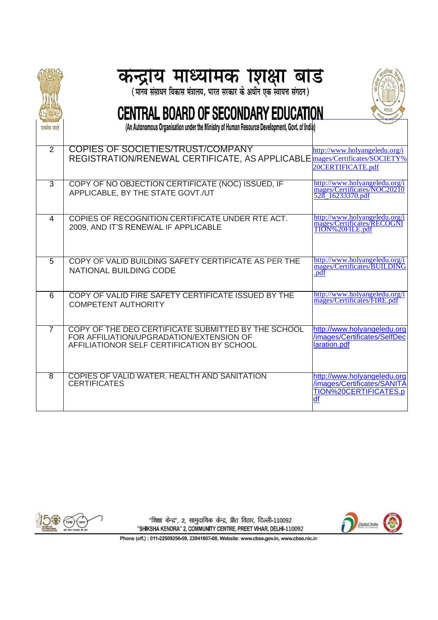|                | <b>कन्द्राय माध्यामक ग्शक्षा बाड</b><br>(मानव संसाधन विकास मंत्रालय, भारत सरकार के अधीन एक स्वायत्त संगठन)                                    |                                                                                     |
|----------------|-----------------------------------------------------------------------------------------------------------------------------------------------|-------------------------------------------------------------------------------------|
|                | <b>CENTRAL BOARD OF SECONDARY EDUCATION</b><br>(An Autonomous Organisation under the Ministry of Human Resource Development, Govt. of India)  |                                                                                     |
| सत्यमव जयत     |                                                                                                                                               |                                                                                     |
| $\overline{2}$ | <b>COPIES OF SOCIETIES/TRUST/COMPANY</b><br>REGISTRATION/RENEWAL CERTIFICATE, AS APPLICABLE                                                   | http://www.holyangeledu.org/i<br>mages/Certificates/SOCIETY%<br>20CERTIFICATE.pdf   |
| $\overline{3}$ | COPY OF NO OBJECTION CERTIFICATE (NOC) ISSUED, IF<br>APPLICABLE, BY THE STATE GOVT./UT                                                        | http://www.holyangeledu.org/i<br>mages/Certificates/NOC20210<br>528 16233370.pdf    |
| 4              | COPIES OF RECOGNITION CERTIFICATE UNDER RTE ACT.<br>2009, AND IT'S RENEWAL IF APPLICABLE                                                      | http://www.holyangeledu.org/i<br>mages/Certificates/RECOGNI<br>TION%20FILE.pdf      |
| 5              | COPY OF VALID BUILDING SAFETY CERTIFICATE AS PER THE<br><b>NATIONAL BUILDING CODE</b>                                                         | http://www.holyangeledu.org/i<br>mages/Certificates/BUILDING<br>.pdf                |
| $\overline{6}$ | COPY OF VALID FIRE SAFETY CERTIFICATE ISSUED BY THE<br><b>COMPETENT AUTHORITY</b>                                                             | http://www.holyangeledu.org/i<br>mages/Certificates/FIRE.pdf                        |
| 7              | COPY OF THE DEO CERTIFICATE SUBMITTED BY THE SCHOOL<br>FOR AFFILIATION/UPGRADATION/EXTENSION OF<br>AFFILIATIONOR SELF CERTIFICATION BY SCHOOL | http://www.holyangeledu.org<br>/images/Certificates/SelfDec<br>laration.pdf         |
| 8              | COPIES OF VALID WATER, HEALTH AND SANITATION<br><b>CERTIFICATES</b>                                                                           | http://www.holyangeledu.org<br>/images/Certificates/SANITA<br>TION%20CERTIFICATES.p |



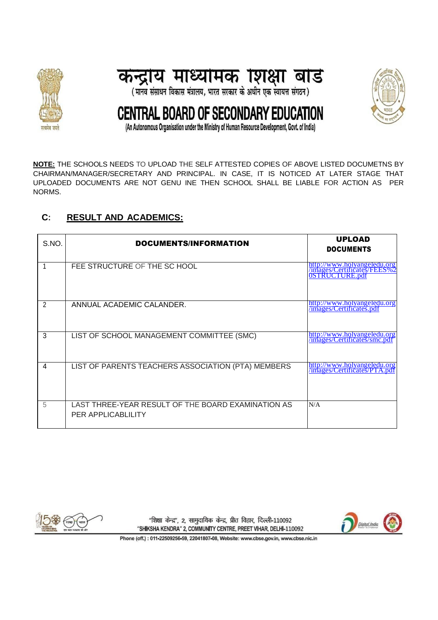





(An Autonomous Organisation under the Ministry of Human Resource Development, Govt. of India)

**NOTE:** THE SCHOOLS NEEDS TO UPLOAD THE SELF ATTESTED COPIES OF ABOVE LISTED DOCUMETNS BY CHAIRMAN/MANAGER/SECRETARY AND PRINCIPAL. IN CASE, IT IS NOTICED AT LATER STAGE THAT UPLOADED DOCUMENTS ARE NOT GENU INE THEN SCHOOL SHALL BE LIABLE FOR ACTION AS PER NORMS.

## **C: RESULT AND ACADEMICS:**

| S.NO.          | DOCUMENTS/INFORMATION                                                    | <b>UPLOAD</b><br><b>DOCUMENTS</b>                                                   |
|----------------|--------------------------------------------------------------------------|-------------------------------------------------------------------------------------|
|                | FEE STRUCTURE OF THE SC HOOL                                             | http://www.holyangeledu.org<br>/images/Certificates/FEES%2<br><b>OSTRUCTURE.pdf</b> |
| $\overline{2}$ | ANNUAL ACADEMIC CALANDER.                                                | http://www.holyangeledu.org<br>/images/Certificates.pdf                             |
| 3              | LIST OF SCHOOL MANAGEMENT COMMITTEE (SMC)                                | http://www.holyangeledu.org<br>/images/Certificates/smc.pdf                         |
| 4              | LIST OF PARENTS TEACHERS ASSOCIATION (PTA) MEMBERS                       | http://www.holyangeledu.org<br>/images/Certificates/PTA.pdf                         |
| 5              | LAST THREE-YEAR RESULT OF THE BOARD EXAMINATION AS<br>PER APPLICABLILITY | N/A                                                                                 |



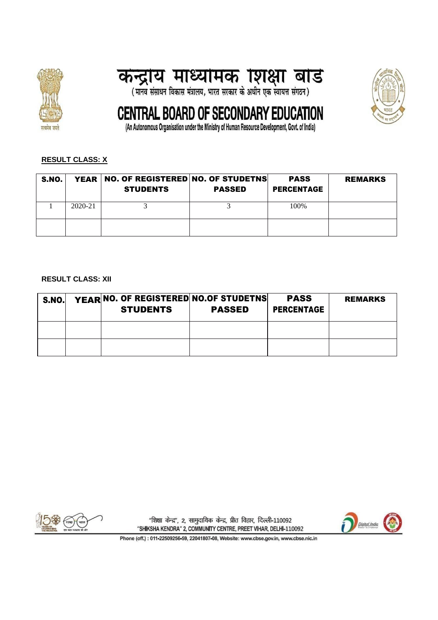





(An Autonomous Organisation under the Ministry of Human Resource Development, Govt. of India)

## **RESULT CLASS: X**

| S.NO. |         | YEAR   NO. OF REGISTERED NO. OF STUDETNS<br><b>STUDENTS</b> | <b>PASSED</b> | <b>PASS</b><br><b>PERCENTAGE</b> | <b>REMARKS</b> |
|-------|---------|-------------------------------------------------------------|---------------|----------------------------------|----------------|
|       | 2020-21 |                                                             |               | 100%                             |                |
|       |         |                                                             |               |                                  |                |

#### **RESULT CLASS: XII**

| <b>S.NO.</b> | YEAR NO. OF REGISTERED NO. OF STUDETNS<br><b>STUDENTS</b> | <b>PASSED</b> | <b>PASS</b><br><b>PERCENTAGE</b> | <b>REMARKS</b> |
|--------------|-----------------------------------------------------------|---------------|----------------------------------|----------------|
|              |                                                           |               |                                  |                |
|              |                                                           |               |                                  |                |



"शिक्षा केन्द्र", 2, सामुदायिक केन्द्र, प्रीत विहार, दिल्ली-110092 "SHIKSHA KENDRA" 2, COMMUNITY CENTRE, PREET VIHAR, DELHI-110092

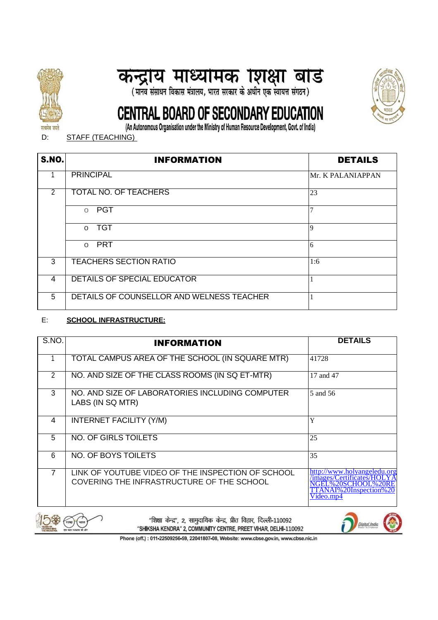

# कन्द्राय माध्यामक शिक्षा बाड<br>(मान्व संसाधन विकास मंत्रालय, भारत सरकार के अधीन एक स्वायत्त संगठन)



# CENTRAL BOARD OF SECONDARY EDUCATION

(An Autonomous Organisation under the Ministry of Human Resource Development, Govt. of India)

D: STAFF (TEACHING)

| <b>S.NO.</b> | <b>INFORMATION</b>                        | <b>DETAILS</b>    |
|--------------|-------------------------------------------|-------------------|
|              | <b>PRINCIPAL</b>                          | Mr. K PALANIAPPAN |
| 2            | <b>TOTAL NO. OF TEACHERS</b>              | 23                |
|              | <b>PGT</b><br>$\Omega$                    |                   |
|              | <b>TGT</b><br>$\Omega$                    | $\overline{9}$    |
|              | <b>PRT</b><br>$\Omega$                    | 6                 |
| 3            | <b>TEACHERS SECTION RATIO</b>             | 1:6               |
| 4            | <b>DETAILS OF SPECIAL EDUCATOR</b>        |                   |
| 5            | DETAILS OF COUNSELLOR AND WELNESS TEACHER |                   |

### E: **SCHOOL INFRASTRUCTURE:**

| S.NO.          | <b>INFORMATION</b>                                                                             | <b>DETAILS</b>                                                                                                   |
|----------------|------------------------------------------------------------------------------------------------|------------------------------------------------------------------------------------------------------------------|
|                | TOTAL CAMPUS AREA OF THE SCHOOL (IN SQUARE MTR)                                                | 41728                                                                                                            |
| 2              | NO. AND SIZE OF THE CLASS ROOMS (IN SQ ET-MTR)                                                 | 17 and 47                                                                                                        |
| 3              | NO. AND SIZE OF LABORATORIES INCLUDING COMPUTER<br>LABS (IN SQ MTR)                            | 5 and 56                                                                                                         |
| 4              | <b>INTERNET FACILITY (Y/M)</b>                                                                 | Y                                                                                                                |
| 5              | NO. OF GIRLS TOILETS                                                                           | 25                                                                                                               |
| 6              | NO. OF BOYS TOILETS                                                                            | 35                                                                                                               |
| $\overline{7}$ | LINK OF YOUTUBE VIDEO OF THE INSPECTION OF SCHOOL<br>COVERING THE INFRASTRUCTURE OF THE SCHOOL | http://www.holvangeledu.org<br>/images/Certificates/HO<br>NGEL%20SCHOOL%20<br>TTANAI%20Inspection%20<br>Videomp4 |



"शिक्षा केन्द्र", 2, सामुदायिक केन्द्र, प्रीत विहार, दिल्ली-110092 "SHIKSHA KENDRA" 2, COMMUNITY CENTRE, PREET VIHAR, DELHI-110092